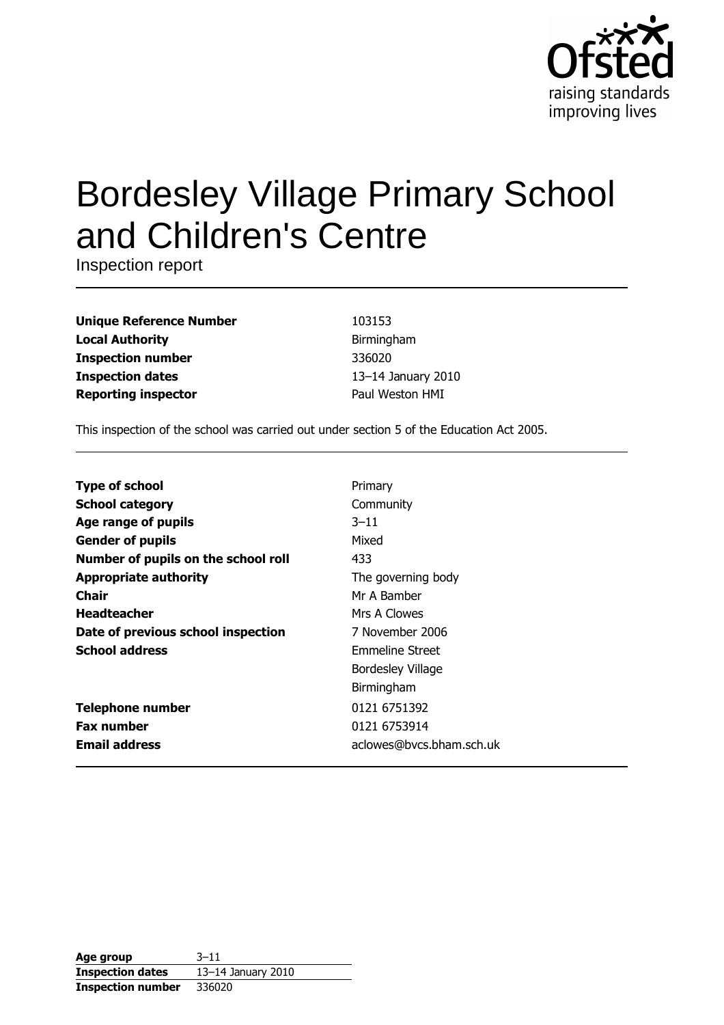

# **Bordesley Village Primary School** and Children's Centre

Inspection report

| <b>Unique Reference Number</b> |
|--------------------------------|
| <b>Local Authority</b>         |
| <b>Inspection number</b>       |
| <b>Inspection dates</b>        |
| <b>Reporting inspector</b>     |

103153 Birmingham 336020 13-14 January 2010 Paul Weston HMI

This inspection of the school was carried out under section 5 of the Education Act 2005.

| <b>Type of school</b>               | Primary                  |
|-------------------------------------|--------------------------|
| <b>School category</b>              | Community                |
| Age range of pupils                 | $3 - 11$                 |
| <b>Gender of pupils</b>             | Mixed                    |
| Number of pupils on the school roll | 433                      |
| <b>Appropriate authority</b>        | The governing body       |
| Chair                               | Mr A Bamber              |
| <b>Headteacher</b>                  | Mrs A Clowes             |
| Date of previous school inspection  | 7 November 2006          |
| <b>School address</b>               | Emmeline Street          |
|                                     | Bordesley Village        |
|                                     | Birmingham               |
| <b>Telephone number</b>             | 0121 6751392             |
| <b>Fax number</b>                   | 0121 6753914             |
| <b>Email address</b>                | aclowes@bvcs.bham.sch.uk |

| Age group                | $3 - 11$           |
|--------------------------|--------------------|
| <b>Inspection dates</b>  | 13-14 January 2010 |
| <b>Inspection number</b> | 336020             |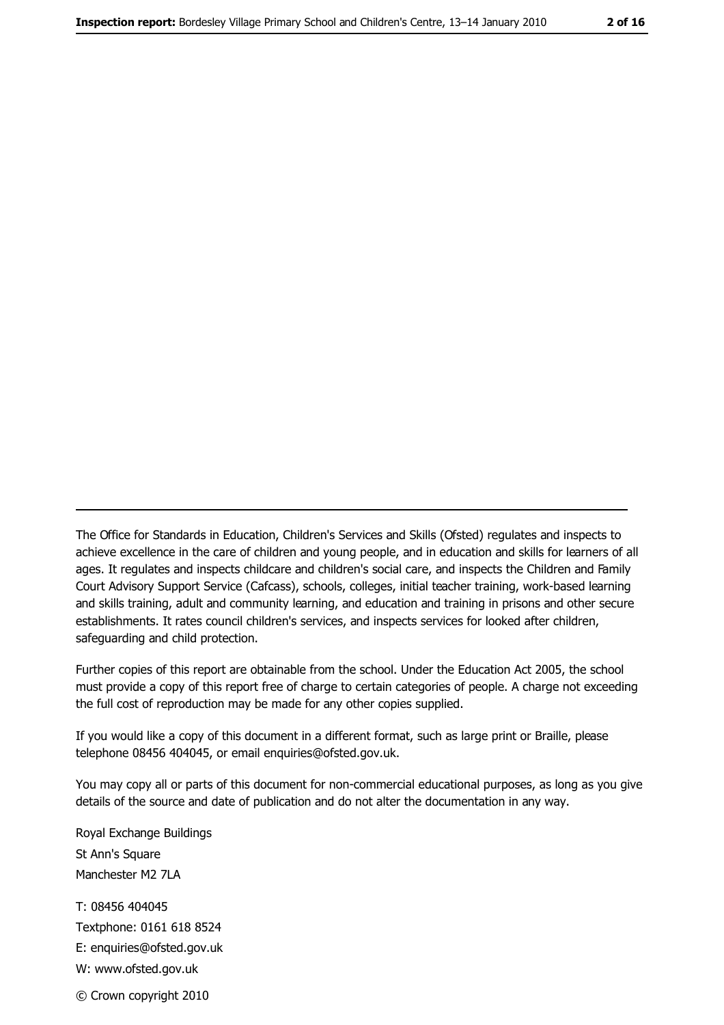The Office for Standards in Education, Children's Services and Skills (Ofsted) regulates and inspects to achieve excellence in the care of children and young people, and in education and skills for learners of all ages. It regulates and inspects childcare and children's social care, and inspects the Children and Family Court Advisory Support Service (Cafcass), schools, colleges, initial teacher training, work-based learning and skills training, adult and community learning, and education and training in prisons and other secure establishments. It rates council children's services, and inspects services for looked after children, safequarding and child protection.

Further copies of this report are obtainable from the school. Under the Education Act 2005, the school must provide a copy of this report free of charge to certain categories of people. A charge not exceeding the full cost of reproduction may be made for any other copies supplied.

If you would like a copy of this document in a different format, such as large print or Braille, please telephone 08456 404045, or email enquiries@ofsted.gov.uk.

You may copy all or parts of this document for non-commercial educational purposes, as long as you give details of the source and date of publication and do not alter the documentation in any way.

Royal Exchange Buildings St Ann's Square Manchester M2 7LA T: 08456 404045 Textphone: 0161 618 8524 E: enquiries@ofsted.gov.uk W: www.ofsted.gov.uk © Crown copyright 2010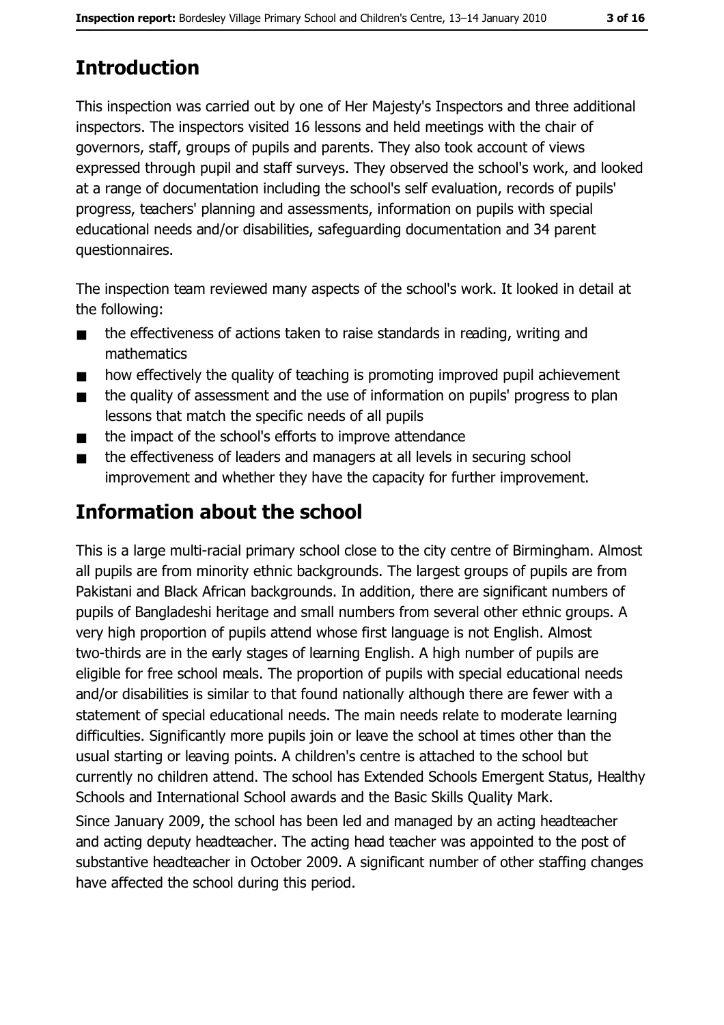This inspection was carried out by one of Her Majesty's Inspectors and three additional inspectors. The inspectors visited 16 lessons and held meetings with the chair of governors, staff, groups of pupils and parents. They also took account of views expressed through pupil and staff surveys. They observed the school's work, and looked at a range of documentation including the school's self evaluation, records of pupils' progress, teachers' planning and assessments, information on pupils with special educational needs and/or disabilities, safeguarding documentation and 34 parent questionnaires.

The inspection team reviewed many aspects of the school's work. It looked in detail at the following:

- the effectiveness of actions taken to raise standards in reading, writing and  $\blacksquare$ mathematics
- how effectively the quality of teaching is promoting improved pupil achievement  $\blacksquare$
- the quality of assessment and the use of information on pupils' progress to plan  $\blacksquare$ lessons that match the specific needs of all pupils
- the impact of the school's efforts to improve attendance  $\blacksquare$
- the effectiveness of leaders and managers at all levels in securing school  $\blacksquare$ improvement and whether they have the capacity for further improvement.

# **Information about the school**

This is a large multi-racial primary school close to the city centre of Birmingham. Almost all pupils are from minority ethnic backgrounds. The largest groups of pupils are from Pakistani and Black African backgrounds. In addition, there are significant numbers of pupils of Bangladeshi heritage and small numbers from several other ethnic groups. A very high proportion of pupils attend whose first language is not English. Almost two-thirds are in the early stages of learning English. A high number of pupils are eligible for free school meals. The proportion of pupils with special educational needs and/or disabilities is similar to that found nationally although there are fewer with a statement of special educational needs. The main needs relate to moderate learning difficulties. Significantly more pupils join or leave the school at times other than the usual starting or leaving points. A children's centre is attached to the school but currently no children attend. The school has Extended Schools Emergent Status, Healthy Schools and International School awards and the Basic Skills Quality Mark.

Since January 2009, the school has been led and managed by an acting headteacher and acting deputy headteacher. The acting head teacher was appointed to the post of substantive headteacher in October 2009. A significant number of other staffing changes have affected the school during this period.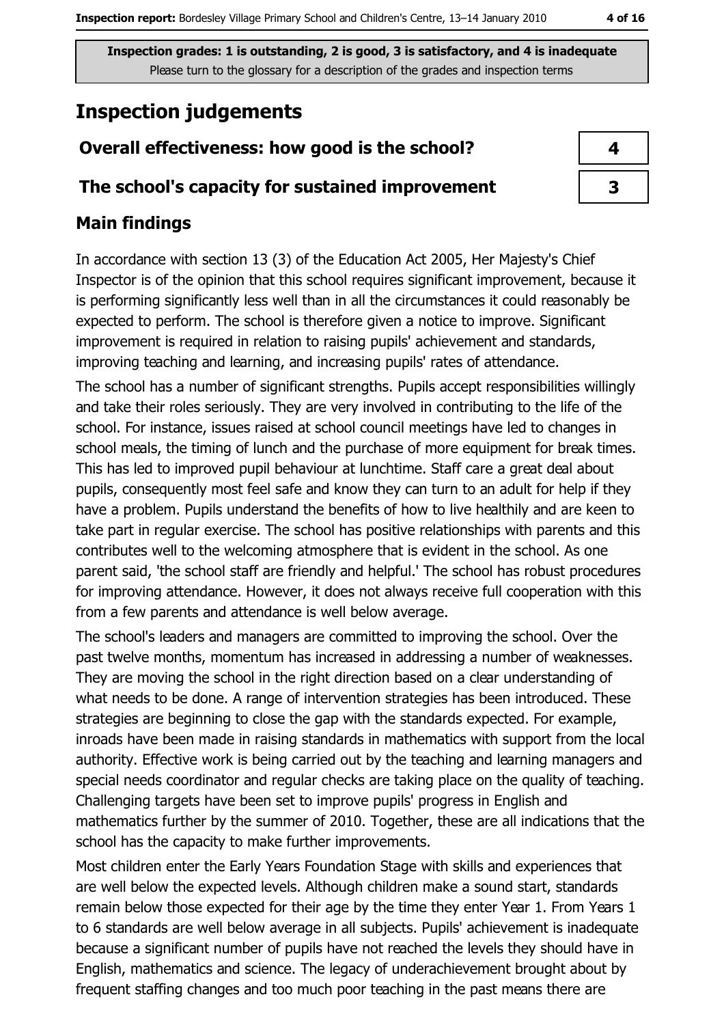# **Inspection judgements**

#### Overall effectiveness: how good is the school?

#### The school's capacity for sustained improvement

#### **Main findings**

In accordance with section 13 (3) of the Education Act 2005, Her Majesty's Chief Inspector is of the opinion that this school requires significant improvement, because it is performing significantly less well than in all the circumstances it could reasonably be expected to perform. The school is therefore given a notice to improve. Significant improvement is required in relation to raising pupils' achievement and standards, improving teaching and learning, and increasing pupils' rates of attendance.

The school has a number of significant strengths. Pupils accept responsibilities willingly and take their roles seriously. They are very involved in contributing to the life of the school. For instance, issues raised at school council meetings have led to changes in school meals, the timing of lunch and the purchase of more equipment for break times. This has led to improved pupil behaviour at lunchtime. Staff care a great deal about pupils, consequently most feel safe and know they can turn to an adult for help if they have a problem. Pupils understand the benefits of how to live healthily and are keen to take part in regular exercise. The school has positive relationships with parents and this contributes well to the welcoming atmosphere that is evident in the school. As one parent said, 'the school staff are friendly and helpful.' The school has robust procedures for improving attendance. However, it does not always receive full cooperation with this from a few parents and attendance is well below average.

The school's leaders and managers are committed to improving the school. Over the past twelve months, momentum has increased in addressing a number of weaknesses. They are moving the school in the right direction based on a clear understanding of what needs to be done. A range of intervention strategies has been introduced. These strategies are beginning to close the gap with the standards expected. For example, inroads have been made in raising standards in mathematics with support from the local authority. Effective work is being carried out by the teaching and learning managers and special needs coordinator and regular checks are taking place on the quality of teaching. Challenging targets have been set to improve pupils' progress in English and mathematics further by the summer of 2010. Together, these are all indications that the school has the capacity to make further improvements.

Most children enter the Early Years Foundation Stage with skills and experiences that are well below the expected levels. Although children make a sound start, standards remain below those expected for their age by the time they enter Year 1. From Years 1 to 6 standards are well below average in all subjects. Pupils' achievement is inadequate because a significant number of pupils have not reached the levels they should have in English, mathematics and science. The legacy of underachievement brought about by frequent staffing changes and too much poor teaching in the past means there are

| 4 |
|---|
| 3 |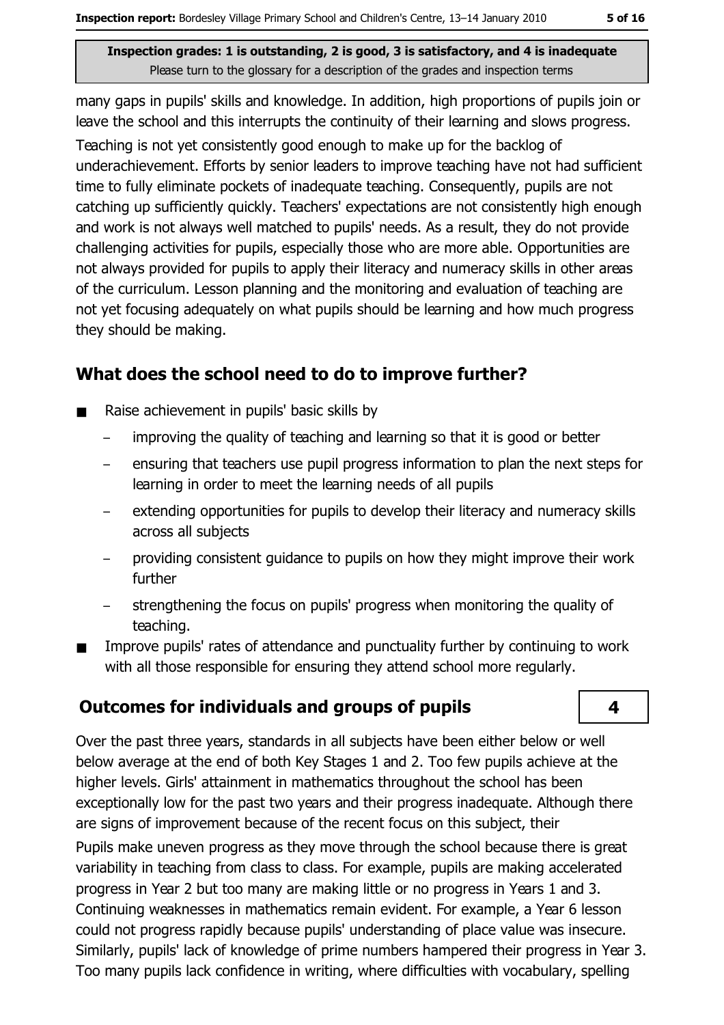many gaps in pupils' skills and knowledge. In addition, high proportions of pupils join or leave the school and this interrupts the continuity of their learning and slows progress.

Teaching is not yet consistently good enough to make up for the backlog of underachievement. Efforts by senior leaders to improve teaching have not had sufficient time to fully eliminate pockets of inadequate teaching. Consequently, pupils are not catching up sufficiently quickly. Teachers' expectations are not consistently high enough and work is not always well matched to pupils' needs. As a result, they do not provide challenging activities for pupils, especially those who are more able. Opportunities are not always provided for pupils to apply their literacy and numeracy skills in other areas of the curriculum. Lesson planning and the monitoring and evaluation of teaching are not yet focusing adequately on what pupils should be learning and how much progress they should be making.

#### What does the school need to do to improve further?

- Raise achievement in pupils' basic skills by
	- improving the quality of teaching and learning so that it is good or better
	- ensuring that teachers use pupil progress information to plan the next steps for learning in order to meet the learning needs of all pupils
	- extending opportunities for pupils to develop their literacy and numeracy skills across all subjects
	- providing consistent guidance to pupils on how they might improve their work further
	- strengthening the focus on pupils' progress when monitoring the quality of  $\equiv$ teaching.
- Improve pupils' rates of attendance and punctuality further by continuing to work  $\blacksquare$ with all those responsible for ensuring they attend school more regularly.

#### **Outcomes for individuals and groups of pupils**

 $\overline{\mathbf{4}}$ 

Over the past three years, standards in all subjects have been either below or well below average at the end of both Key Stages 1 and 2. Too few pupils achieve at the higher levels. Girls' attainment in mathematics throughout the school has been exceptionally low for the past two years and their progress inadequate. Although there are signs of improvement because of the recent focus on this subject, their Pupils make uneven progress as they move through the school because there is great variability in teaching from class to class. For example, pupils are making accelerated progress in Year 2 but too many are making little or no progress in Years 1 and 3. Continuing weaknesses in mathematics remain evident. For example, a Year 6 lesson could not progress rapidly because pupils' understanding of place value was insecure. Similarly, pupils' lack of knowledge of prime numbers hampered their progress in Year 3. Too many pupils lack confidence in writing, where difficulties with vocabulary, spelling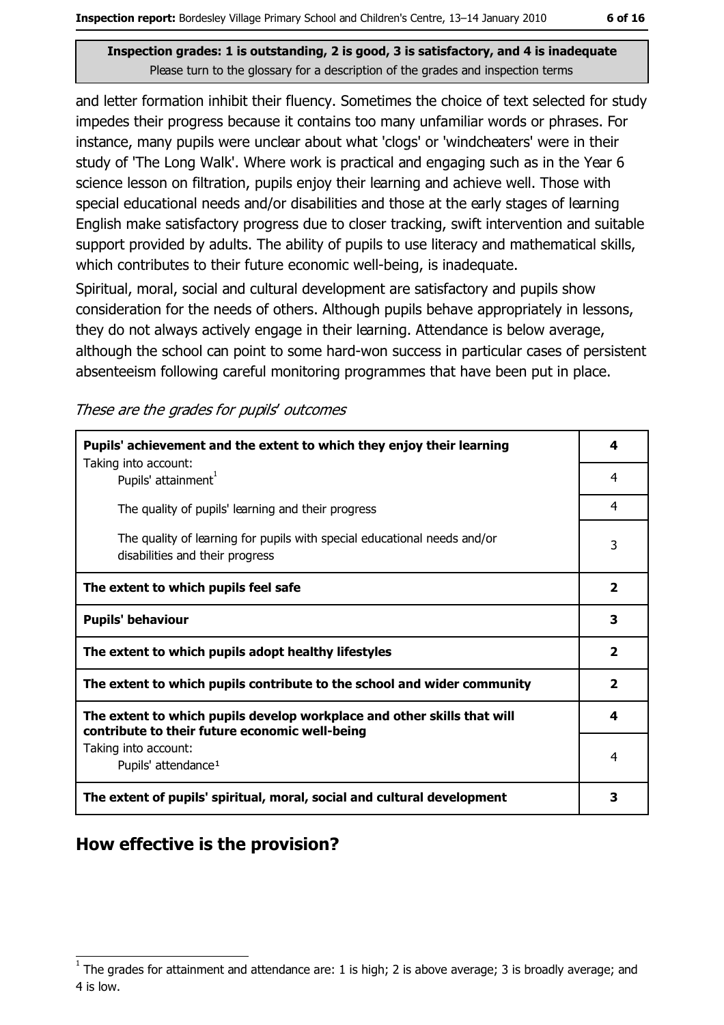and letter formation inhibit their fluency. Sometimes the choice of text selected for study impedes their progress because it contains too many unfamiliar words or phrases. For instance, many pupils were unclear about what 'clogs' or 'windcheaters' were in their study of 'The Long Walk'. Where work is practical and engaging such as in the Year 6 science lesson on filtration, pupils enjoy their learning and achieve well. Those with special educational needs and/or disabilities and those at the early stages of learning English make satisfactory progress due to closer tracking, swift intervention and suitable support provided by adults. The ability of pupils to use literacy and mathematical skills, which contributes to their future economic well-being, is inadequate.

Spiritual, moral, social and cultural development are satisfactory and pupils show consideration for the needs of others. Although pupils behave appropriately in lessons, they do not always actively engage in their learning. Attendance is below average, although the school can point to some hard-won success in particular cases of persistent absenteeism following careful monitoring programmes that have been put in place.

These are the grades for pupils' outcomes

| Pupils' achievement and the extent to which they enjoy their learning                                                     |                         |  |  |
|---------------------------------------------------------------------------------------------------------------------------|-------------------------|--|--|
| Taking into account:<br>Pupils' attainment <sup>1</sup>                                                                   | 4                       |  |  |
| The quality of pupils' learning and their progress                                                                        | 4                       |  |  |
| The quality of learning for pupils with special educational needs and/or<br>disabilities and their progress               |                         |  |  |
| The extent to which pupils feel safe                                                                                      | $\overline{\mathbf{2}}$ |  |  |
| <b>Pupils' behaviour</b>                                                                                                  |                         |  |  |
| The extent to which pupils adopt healthy lifestyles                                                                       |                         |  |  |
| The extent to which pupils contribute to the school and wider community                                                   |                         |  |  |
| The extent to which pupils develop workplace and other skills that will<br>contribute to their future economic well-being | 4                       |  |  |
| Taking into account:<br>Pupils' attendance <sup>1</sup>                                                                   | 4                       |  |  |
| The extent of pupils' spiritual, moral, social and cultural development                                                   | 3                       |  |  |

## How effective is the provision?

 $1$  The arades for attainment and attendance are: 1 is high; 2 is above average; 3 is broadly average; and 4 is low.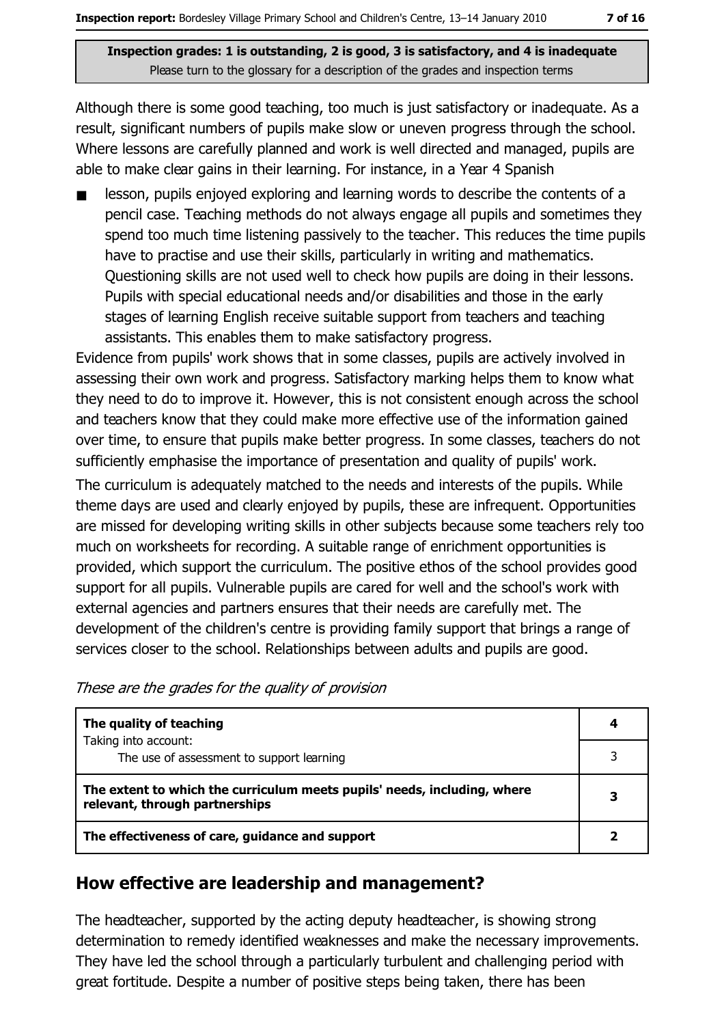Although there is some good teaching, too much is just satisfactory or inadequate. As a result, significant numbers of pupils make slow or uneven progress through the school. Where lessons are carefully planned and work is well directed and managed, pupils are able to make clear gains in their learning. For instance, in a Year 4 Spanish

lesson, pupils enjoyed exploring and learning words to describe the contents of a pencil case. Teaching methods do not always engage all pupils and sometimes they spend too much time listening passively to the teacher. This reduces the time pupils have to practise and use their skills, particularly in writing and mathematics. Questioning skills are not used well to check how pupils are doing in their lessons. Pupils with special educational needs and/or disabilities and those in the early stages of learning English receive suitable support from teachers and teaching assistants. This enables them to make satisfactory progress.

Evidence from pupils' work shows that in some classes, pupils are actively involved in assessing their own work and progress. Satisfactory marking helps them to know what they need to do to improve it. However, this is not consistent enough across the school and teachers know that they could make more effective use of the information gained over time, to ensure that pupils make better progress. In some classes, teachers do not sufficiently emphasise the importance of presentation and quality of pupils' work.

The curriculum is adequately matched to the needs and interests of the pupils. While theme days are used and clearly enjoyed by pupils, these are infrequent. Opportunities are missed for developing writing skills in other subjects because some teachers rely too much on worksheets for recording. A suitable range of enrichment opportunities is provided, which support the curriculum. The positive ethos of the school provides good support for all pupils. Vulnerable pupils are cared for well and the school's work with external agencies and partners ensures that their needs are carefully met. The development of the children's centre is providing family support that brings a range of services closer to the school. Relationships between adults and pupils are good.

|  |  |  | These are the grades for the quality of provision |
|--|--|--|---------------------------------------------------|
|  |  |  |                                                   |

| The quality of teaching                                                                                    |  |
|------------------------------------------------------------------------------------------------------------|--|
| Taking into account:<br>The use of assessment to support learning                                          |  |
| The extent to which the curriculum meets pupils' needs, including, where<br>relevant, through partnerships |  |
| The effectiveness of care, guidance and support                                                            |  |

#### How effective are leadership and management?

The headteacher, supported by the acting deputy headteacher, is showing strong determination to remedy identified weaknesses and make the necessary improvements. They have led the school through a particularly turbulent and challenging period with great fortitude. Despite a number of positive steps being taken, there has been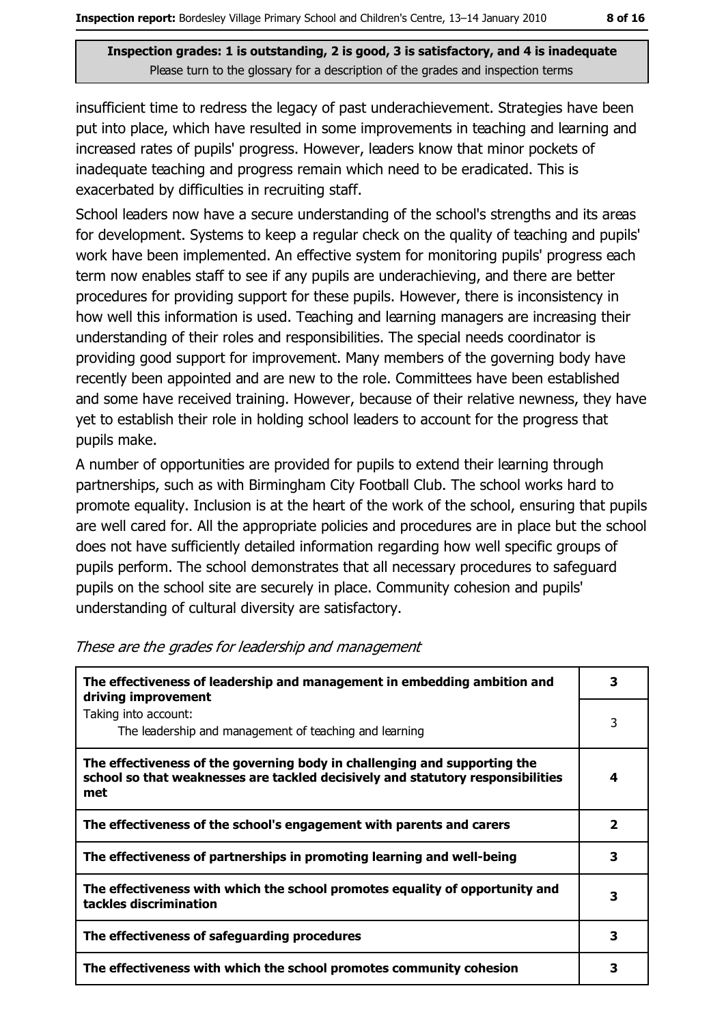insufficient time to redress the legacy of past underachievement. Strategies have been put into place, which have resulted in some improvements in teaching and learning and increased rates of pupils' progress. However, leaders know that minor pockets of inadequate teaching and progress remain which need to be eradicated. This is exacerbated by difficulties in recruiting staff.

School leaders now have a secure understanding of the school's strengths and its areas for development. Systems to keep a regular check on the quality of teaching and pupils' work have been implemented. An effective system for monitoring pupils' progress each term now enables staff to see if any pupils are underachieving, and there are better procedures for providing support for these pupils. However, there is inconsistency in how well this information is used. Teaching and learning managers are increasing their understanding of their roles and responsibilities. The special needs coordinator is providing good support for improvement. Many members of the governing body have recently been appointed and are new to the role. Committees have been established and some have received training. However, because of their relative newness, they have yet to establish their role in holding school leaders to account for the progress that pupils make.

A number of opportunities are provided for pupils to extend their learning through partnerships, such as with Birmingham City Football Club. The school works hard to promote equality. Inclusion is at the heart of the work of the school, ensuring that pupils are well cared for. All the appropriate policies and procedures are in place but the school does not have sufficiently detailed information regarding how well specific groups of pupils perform. The school demonstrates that all necessary procedures to safeguard pupils on the school site are securely in place. Community cohesion and pupils' understanding of cultural diversity are satisfactory.

| The effectiveness of leadership and management in embedding ambition and<br>driving improvement                                                                     |   |  |  |
|---------------------------------------------------------------------------------------------------------------------------------------------------------------------|---|--|--|
| Taking into account:<br>The leadership and management of teaching and learning                                                                                      | 3 |  |  |
| The effectiveness of the governing body in challenging and supporting the<br>school so that weaknesses are tackled decisively and statutory responsibilities<br>met | 4 |  |  |
| The effectiveness of the school's engagement with parents and carers                                                                                                | 2 |  |  |
| The effectiveness of partnerships in promoting learning and well-being                                                                                              | 3 |  |  |
| The effectiveness with which the school promotes equality of opportunity and<br>tackles discrimination                                                              | з |  |  |
| The effectiveness of safeguarding procedures                                                                                                                        | 3 |  |  |
| The effectiveness with which the school promotes community cohesion                                                                                                 | з |  |  |

#### These are the grades for leadership and management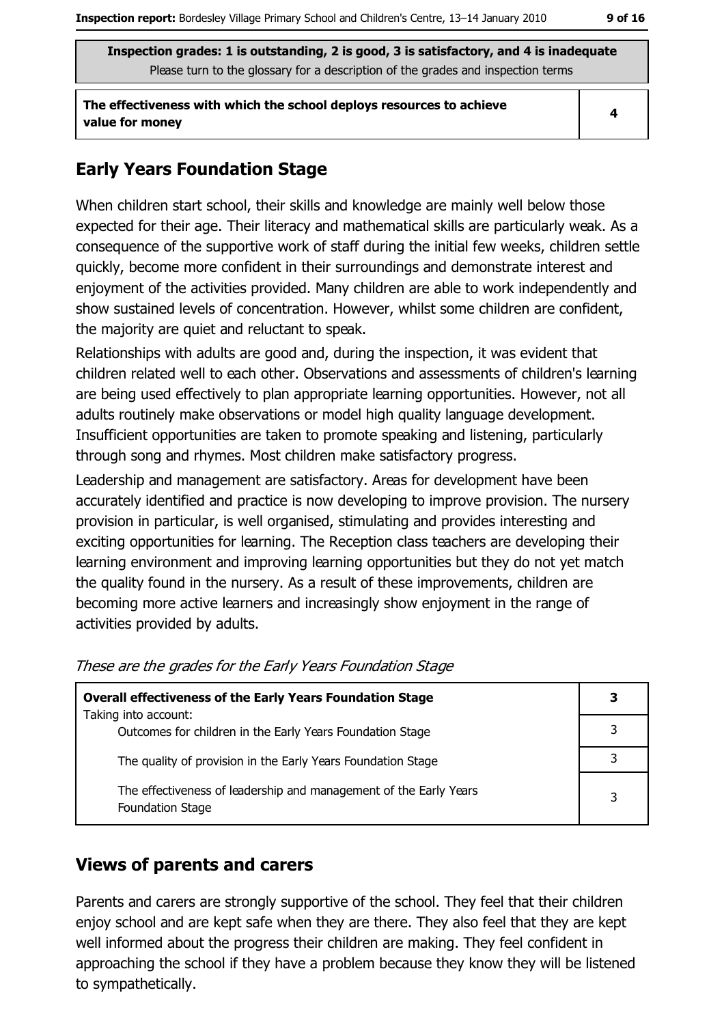The effectiveness with which the school deploys resources to achieve value for money

 $\overline{\mathbf{4}}$ 

#### **Early Years Foundation Stage**

When children start school, their skills and knowledge are mainly well below those expected for their age. Their literacy and mathematical skills are particularly weak. As a consequence of the supportive work of staff during the initial few weeks, children settle quickly, become more confident in their surroundings and demonstrate interest and enjoyment of the activities provided. Many children are able to work independently and show sustained levels of concentration. However, whilst some children are confident, the majority are quiet and reluctant to speak.

Relationships with adults are good and, during the inspection, it was evident that children related well to each other. Observations and assessments of children's learning are being used effectively to plan appropriate learning opportunities. However, not all adults routinely make observations or model high quality language development. Insufficient opportunities are taken to promote speaking and listening, particularly through song and rhymes. Most children make satisfactory progress.

Leadership and management are satisfactory. Areas for development have been accurately identified and practice is now developing to improve provision. The nursery provision in particular, is well organised, stimulating and provides interesting and exciting opportunities for learning. The Reception class teachers are developing their learning environment and improving learning opportunities but they do not yet match the quality found in the nursery. As a result of these improvements, children are becoming more active learners and increasingly show enjoyment in the range of activities provided by adults.

| <b>Overall effectiveness of the Early Years Foundation Stage</b><br>Taking into account:     |  |
|----------------------------------------------------------------------------------------------|--|
| Outcomes for children in the Early Years Foundation Stage                                    |  |
| The quality of provision in the Early Years Foundation Stage                                 |  |
| The effectiveness of leadership and management of the Early Years<br><b>Foundation Stage</b> |  |

#### These are the grades for the Early Years Foundation Stage

#### **Views of parents and carers**

Parents and carers are strongly supportive of the school. They feel that their children enjoy school and are kept safe when they are there. They also feel that they are kept well informed about the progress their children are making. They feel confident in approaching the school if they have a problem because they know they will be listened to sympathetically.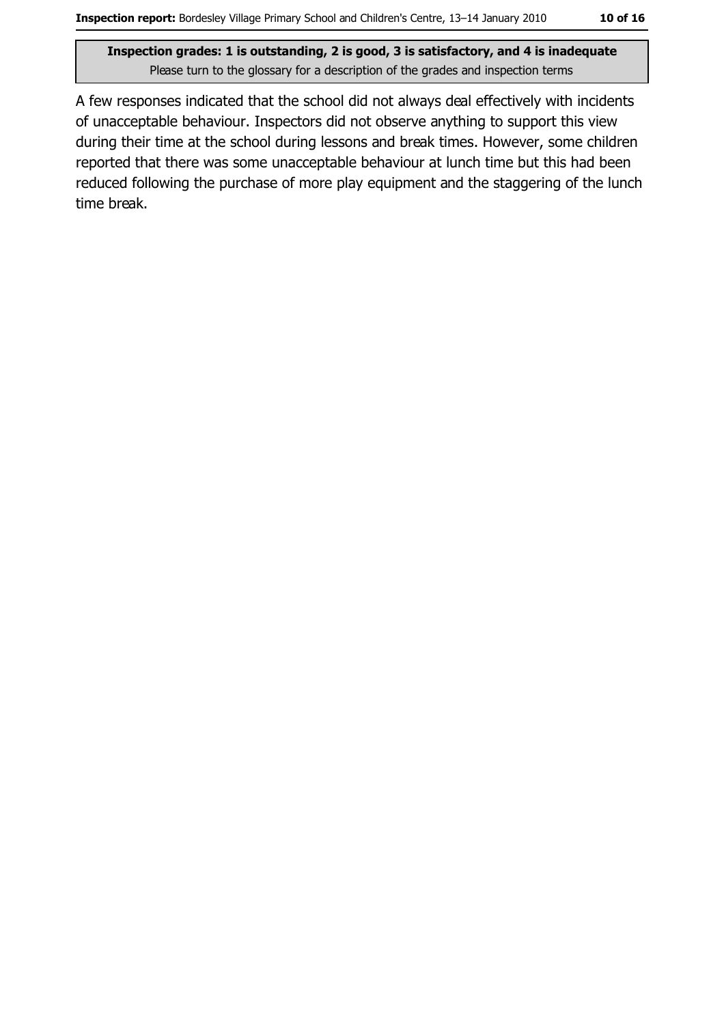A few responses indicated that the school did not always deal effectively with incidents of unacceptable behaviour. Inspectors did not observe anything to support this view during their time at the school during lessons and break times. However, some children reported that there was some unacceptable behaviour at lunch time but this had been reduced following the purchase of more play equipment and the staggering of the lunch time break.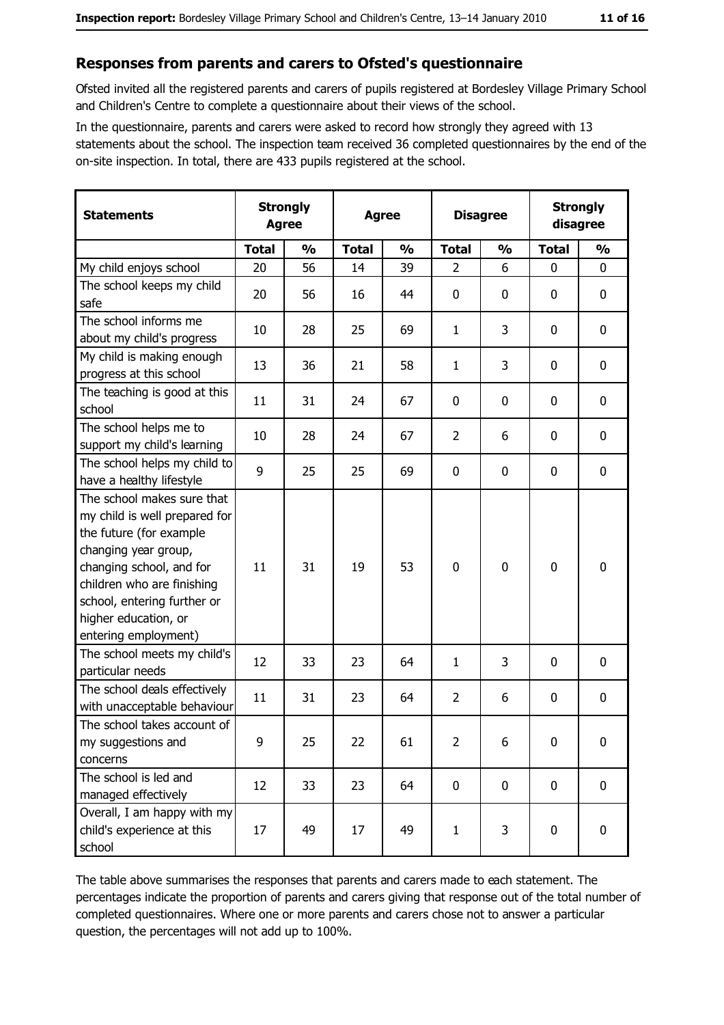#### Responses from parents and carers to Ofsted's questionnaire

Ofsted invited all the registered parents and carers of pupils registered at Bordesley Village Primary School and Children's Centre to complete a questionnaire about their views of the school.

In the questionnaire, parents and carers were asked to record how strongly they agreed with 13 statements about the school. The inspection team received 36 completed questionnaires by the end of the on-site inspection. In total, there are 433 pupils registered at the school.

| <b>Statements</b>                                                                                                                                                                                                                                       |              | <b>Strongly</b><br><b>Strongly</b><br><b>Disagree</b><br><b>Agree</b><br>disagree<br><b>Agree</b> |              |               |                |               |              |               |
|---------------------------------------------------------------------------------------------------------------------------------------------------------------------------------------------------------------------------------------------------------|--------------|---------------------------------------------------------------------------------------------------|--------------|---------------|----------------|---------------|--------------|---------------|
|                                                                                                                                                                                                                                                         | <b>Total</b> | $\frac{0}{0}$                                                                                     | <b>Total</b> | $\frac{0}{0}$ | <b>Total</b>   | $\frac{0}{0}$ | <b>Total</b> | $\frac{0}{0}$ |
| My child enjoys school                                                                                                                                                                                                                                  | 20           | 56                                                                                                | 14           | 39            | $\overline{2}$ | 6             | 0            | 0             |
| The school keeps my child<br>safe                                                                                                                                                                                                                       | 20           | 56                                                                                                | 16           | 44            | $\mathbf 0$    | 0             | 0            | 0             |
| The school informs me<br>about my child's progress                                                                                                                                                                                                      | 10           | 28                                                                                                | 25           | 69            | 1              | 3             | $\Omega$     | 0             |
| My child is making enough<br>progress at this school                                                                                                                                                                                                    | 13           | 36                                                                                                | 21           | 58            | $\mathbf{1}$   | 3             | 0            | $\mathbf 0$   |
| The teaching is good at this<br>school                                                                                                                                                                                                                  | 11           | 31                                                                                                | 24           | 67            | $\mathbf 0$    | 0             | 0            | $\mathbf 0$   |
| The school helps me to<br>support my child's learning                                                                                                                                                                                                   | 10           | 28                                                                                                | 24           | 67            | $\overline{2}$ | 6             | 0            | 0             |
| The school helps my child to<br>have a healthy lifestyle                                                                                                                                                                                                | 9            | 25                                                                                                | 25           | 69            | $\mathbf 0$    | 0             | 0            | $\bf{0}$      |
| The school makes sure that<br>my child is well prepared for<br>the future (for example<br>changing year group,<br>changing school, and for<br>children who are finishing<br>school, entering further or<br>higher education, or<br>entering employment) | 11           | 31                                                                                                | 19           | 53            | $\mathbf 0$    | 0             | 0            | $\mathbf 0$   |
| The school meets my child's<br>particular needs                                                                                                                                                                                                         | 12           | 33                                                                                                | 23           | 64            | $\mathbf{1}$   | 3             | 0            | $\mathbf 0$   |
| The school deals effectively<br>with unacceptable behaviour                                                                                                                                                                                             | 11           | 31                                                                                                | 23           | 64            | $\overline{2}$ | 6             | 0            | $\bf{0}$      |
| The school takes account of<br>my suggestions and<br>concerns                                                                                                                                                                                           | 9            | 25                                                                                                | 22           | 61            | $\overline{2}$ | 6             | 0            | $\bf{0}$      |
| The school is led and<br>managed effectively                                                                                                                                                                                                            | 12           | 33                                                                                                | 23           | 64            | $\mathbf 0$    | 0             | $\mathbf 0$  | $\mathbf 0$   |
| Overall, I am happy with my<br>child's experience at this<br>school                                                                                                                                                                                     | 17           | 49                                                                                                | 17           | 49            | $\mathbf{1}$   | 3             | 0            | 0             |

The table above summarises the responses that parents and carers made to each statement. The percentages indicate the proportion of parents and carers giving that response out of the total number of completed questionnaires. Where one or more parents and carers chose not to answer a particular question, the percentages will not add up to 100%.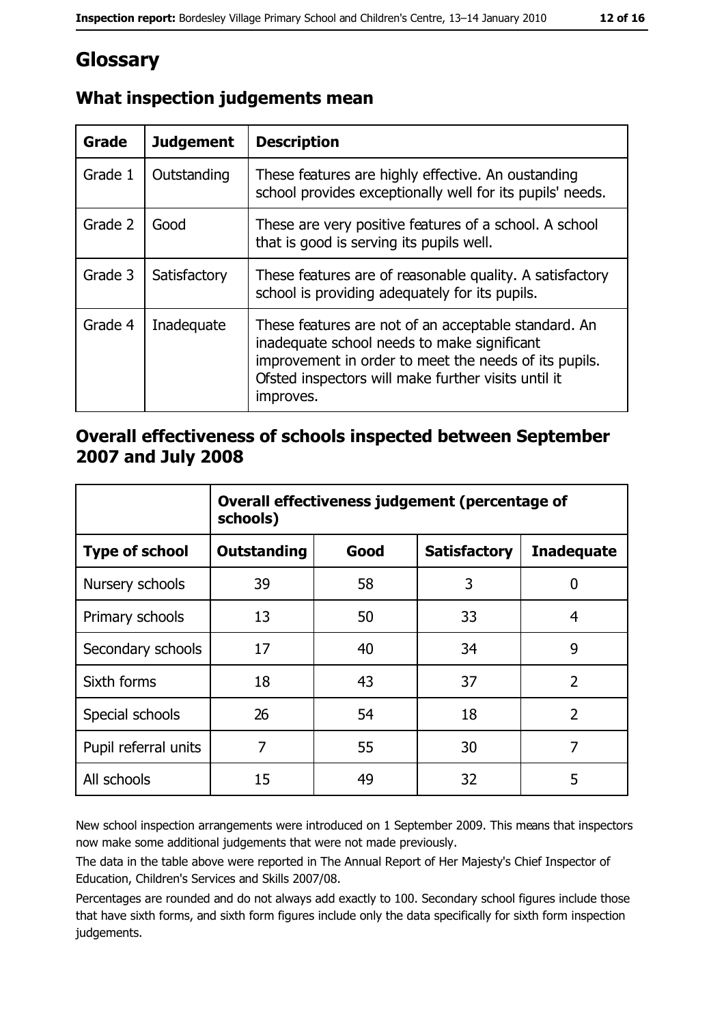# Glossary

| Grade   | <b>Judgement</b> | <b>Description</b>                                                                                                                                                                                                               |
|---------|------------------|----------------------------------------------------------------------------------------------------------------------------------------------------------------------------------------------------------------------------------|
| Grade 1 | Outstanding      | These features are highly effective. An oustanding<br>school provides exceptionally well for its pupils' needs.                                                                                                                  |
| Grade 2 | Good             | These are very positive features of a school. A school<br>that is good is serving its pupils well.                                                                                                                               |
| Grade 3 | Satisfactory     | These features are of reasonable quality. A satisfactory<br>school is providing adequately for its pupils.                                                                                                                       |
| Grade 4 | Inadequate       | These features are not of an acceptable standard. An<br>inadequate school needs to make significant<br>improvement in order to meet the needs of its pupils.<br>Ofsted inspectors will make further visits until it<br>improves. |

### What inspection judgements mean

#### Overall effectiveness of schools inspected between September 2007 and July 2008

|                       | Overall effectiveness judgement (percentage of<br>schools) |      |                     |                   |  |  |
|-----------------------|------------------------------------------------------------|------|---------------------|-------------------|--|--|
| <b>Type of school</b> | Outstanding                                                | Good | <b>Satisfactory</b> | <b>Inadequate</b> |  |  |
| Nursery schools       | 39                                                         | 58   | 3                   | 0                 |  |  |
| Primary schools       | 13                                                         | 50   | 33                  | 4                 |  |  |
| Secondary schools     | 17                                                         | 40   | 34                  | 9                 |  |  |
| Sixth forms           | 18                                                         | 43   | 37                  | $\overline{2}$    |  |  |
| Special schools       | 26                                                         | 54   | 18                  | $\overline{2}$    |  |  |
| Pupil referral units  | 7                                                          | 55   | 30                  | 7                 |  |  |
| All schools           | 15                                                         | 49   | 32                  | 5                 |  |  |

New school inspection arrangements were introduced on 1 September 2009. This means that inspectors now make some additional judgements that were not made previously.

The data in the table above were reported in The Annual Report of Her Majesty's Chief Inspector of Education, Children's Services and Skills 2007/08.

Percentages are rounded and do not always add exactly to 100. Secondary school figures include those that have sixth forms, and sixth form figures include only the data specifically for sixth form inspection judgements.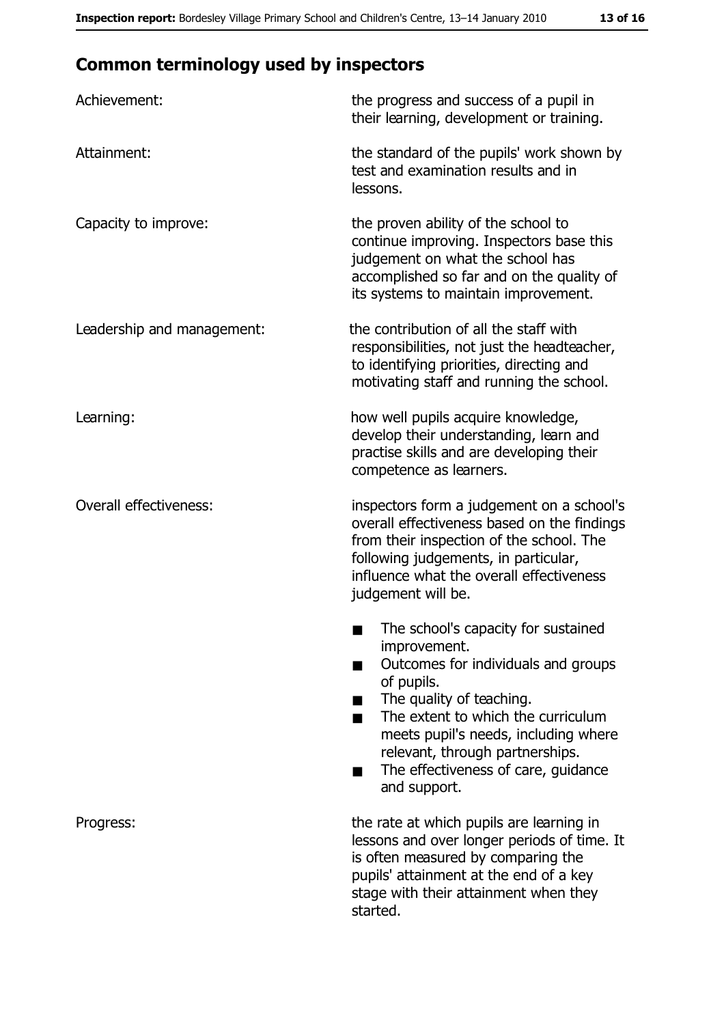# **Common terminology used by inspectors**

| Achievement:                  | the progress and success of a pupil in<br>their learning, development or training.                                                                                                                                                                                                                           |
|-------------------------------|--------------------------------------------------------------------------------------------------------------------------------------------------------------------------------------------------------------------------------------------------------------------------------------------------------------|
| Attainment:                   | the standard of the pupils' work shown by<br>test and examination results and in<br>lessons.                                                                                                                                                                                                                 |
| Capacity to improve:          | the proven ability of the school to<br>continue improving. Inspectors base this<br>judgement on what the school has<br>accomplished so far and on the quality of<br>its systems to maintain improvement.                                                                                                     |
| Leadership and management:    | the contribution of all the staff with<br>responsibilities, not just the headteacher,<br>to identifying priorities, directing and<br>motivating staff and running the school.                                                                                                                                |
| Learning:                     | how well pupils acquire knowledge,<br>develop their understanding, learn and<br>practise skills and are developing their<br>competence as learners.                                                                                                                                                          |
| <b>Overall effectiveness:</b> | inspectors form a judgement on a school's<br>overall effectiveness based on the findings<br>from their inspection of the school. The<br>following judgements, in particular,<br>influence what the overall effectiveness<br>judgement will be.                                                               |
|                               | The school's capacity for sustained<br>improvement.<br>Outcomes for individuals and groups<br>of pupils.<br>The quality of teaching.<br>The extent to which the curriculum<br>meets pupil's needs, including where<br>relevant, through partnerships.<br>The effectiveness of care, guidance<br>and support. |
| Progress:                     | the rate at which pupils are learning in<br>lessons and over longer periods of time. It<br>is often measured by comparing the<br>pupils' attainment at the end of a key<br>stage with their attainment when they<br>started.                                                                                 |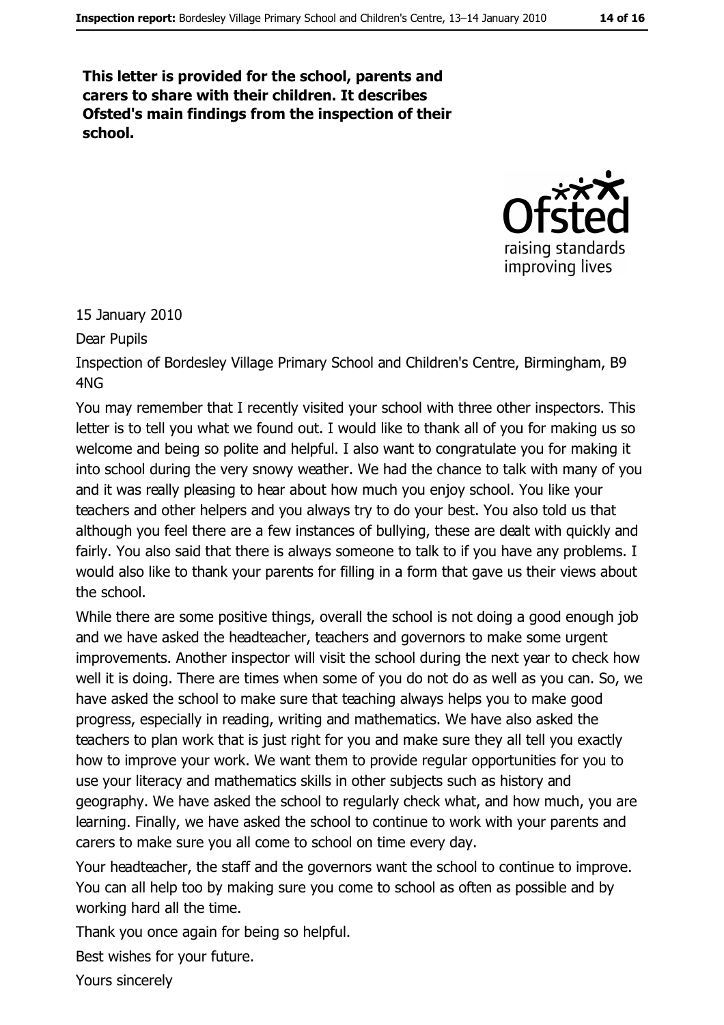This letter is provided for the school, parents and carers to share with their children. It describes Ofsted's main findings from the inspection of their school.



15 January 2010

Dear Pupils

Inspection of Bordesley Village Primary School and Children's Centre, Birmingham, B9  $4NG$ 

You may remember that I recently visited your school with three other inspectors. This letter is to tell you what we found out. I would like to thank all of you for making us so welcome and being so polite and helpful. I also want to congratulate you for making it into school during the very snowy weather. We had the chance to talk with many of you and it was really pleasing to hear about how much you enjoy school. You like your teachers and other helpers and you always try to do your best. You also told us that although you feel there are a few instances of bullying, these are dealt with quickly and fairly. You also said that there is always someone to talk to if you have any problems. I would also like to thank your parents for filling in a form that gave us their views about the school.

While there are some positive things, overall the school is not doing a good enough job and we have asked the headteacher, teachers and governors to make some urgent improvements. Another inspector will visit the school during the next year to check how well it is doing. There are times when some of you do not do as well as you can. So, we have asked the school to make sure that teaching always helps you to make good progress, especially in reading, writing and mathematics. We have also asked the teachers to plan work that is just right for you and make sure they all tell you exactly how to improve your work. We want them to provide regular opportunities for you to use your literacy and mathematics skills in other subjects such as history and geography. We have asked the school to regularly check what, and how much, you are learning. Finally, we have asked the school to continue to work with your parents and carers to make sure you all come to school on time every day.

Your headteacher, the staff and the governors want the school to continue to improve. You can all help too by making sure you come to school as often as possible and by working hard all the time.

Thank you once again for being so helpful.

Best wishes for your future.

Yours sincerely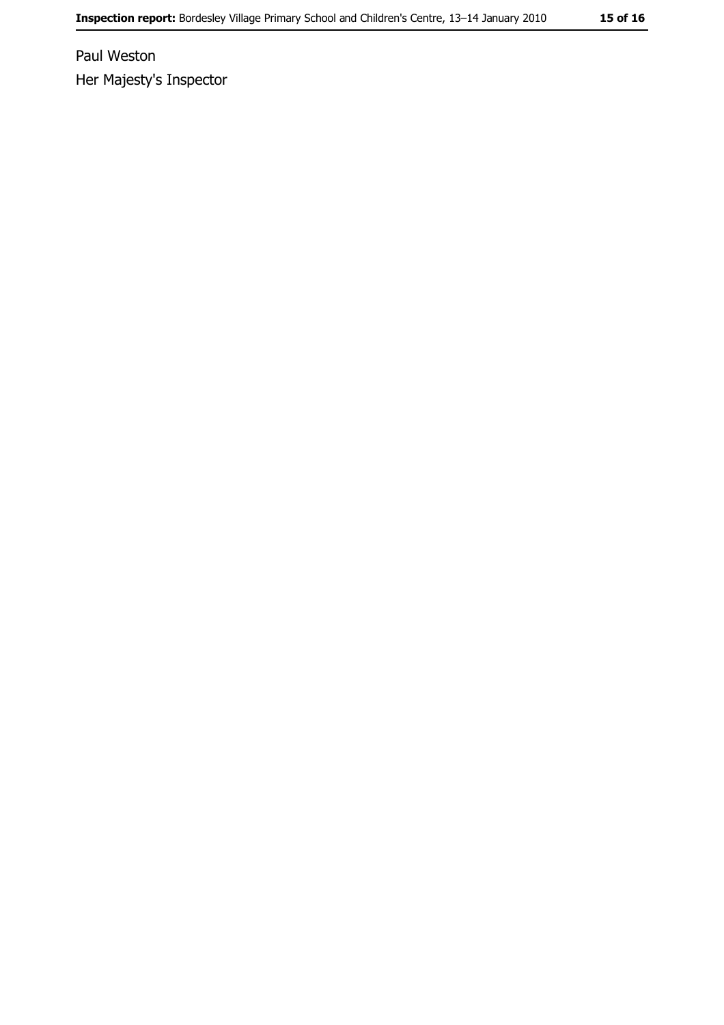Paul Weston Her Majesty's Inspector